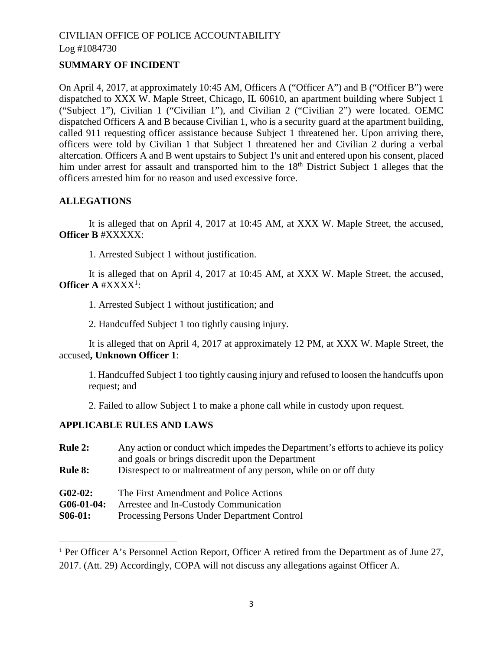## **SUMMARY OF INCIDENT**

On April 4, 2017, at approximately 10:45 AM, Officers A ("Officer A") and B ("Officer B") were dispatched to XXX W. Maple Street, Chicago, IL 60610, an apartment building where Subject 1 ("Subject 1"), Civilian 1 ("Civilian 1"), and Civilian 2 ("Civilian 2") were located. OEMC dispatched Officers A and B because Civilian 1, who is a security guard at the apartment building, called 911 requesting officer assistance because Subject 1 threatened her. Upon arriving there, officers were told by Civilian 1 that Subject 1 threatened her and Civilian 2 during a verbal altercation. Officers A and B went upstairs to Subject 1's unit and entered upon his consent, placed him under arrest for assault and transported him to the 18<sup>th</sup> District Subject 1 alleges that the officers arrested him for no reason and used excessive force.

## **ALLEGATIONS**

It is alleged that on April 4, 2017 at 10:45 AM, at XXX W. Maple Street, the accused, **Officer B** #XXXXX:

1. Arrested Subject 1 without justification.

It is alleged that on April 4, 2017 at 10:45 AM, at XXX W. Maple Street, the accused, Officer A #XXXX<sup>1</sup>[:](#page-0-0)

1. Arrested Subject 1 without justification; and

2. Handcuffed Subject 1 too tightly causing injury.

It is alleged that on April 4, 2017 at approximately 12 PM, at XXX W. Maple Street, the accused**, Unknown Officer 1**:

1. Handcuffed Subject 1 too tightly causing injury and refused to loosen the handcuffs upon request; and

2. Failed to allow Subject 1 to make a phone call while in custody upon request.

### **APPLICABLE RULES AND LAWS**

| Any action or conduct which impedes the Department's efforts to achieve its policy |
|------------------------------------------------------------------------------------|
| and goals or brings discredit upon the Department                                  |
| Disrespect to or maltreatment of any person, while on or off duty                  |
|                                                                                    |
| The First Amendment and Police Actions                                             |
| Arrestee and In-Custody Communication                                              |
| Processing Persons Under Department Control                                        |
|                                                                                    |

<span id="page-0-0"></span><sup>&</sup>lt;sup>1</sup> Per Officer A's Personnel Action Report, Officer A retired from the Department as of June 27, 2017. (Att. 29) Accordingly, COPA will not discuss any allegations against Officer A.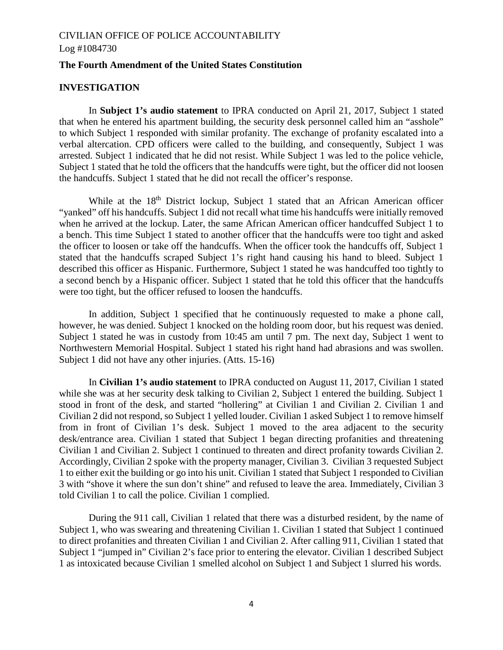#### **The Fourth Amendment of the United States Constitution**

## **INVESTIGATION**

In **Subject 1's audio statement** to IPRA conducted on April 21, 2017, Subject 1 stated that when he entered his apartment building, the security desk personnel called him an "asshole" to which Subject 1 responded with similar profanity. The exchange of profanity escalated into a verbal altercation. CPD officers were called to the building, and consequently, Subject 1 was arrested. Subject 1 indicated that he did not resist. While Subject 1 was led to the police vehicle, Subject 1 stated that he told the officers that the handcuffs were tight, but the officer did not loosen the handcuffs. Subject 1 stated that he did not recall the officer's response.

While at the 18<sup>th</sup> District lockup, Subject 1 stated that an African American officer "yanked" off his handcuffs. Subject 1 did not recall what time his handcuffs were initially removed when he arrived at the lockup. Later, the same African American officer handcuffed Subject 1 to a bench. This time Subject 1 stated to another officer that the handcuffs were too tight and asked the officer to loosen or take off the handcuffs. When the officer took the handcuffs off, Subject 1 stated that the handcuffs scraped Subject 1's right hand causing his hand to bleed. Subject 1 described this officer as Hispanic. Furthermore, Subject 1 stated he was handcuffed too tightly to a second bench by a Hispanic officer. Subject 1 stated that he told this officer that the handcuffs were too tight, but the officer refused to loosen the handcuffs.

In addition, Subject 1 specified that he continuously requested to make a phone call, however, he was denied. Subject 1 knocked on the holding room door, but his request was denied. Subject 1 stated he was in custody from 10:45 am until 7 pm. The next day, Subject 1 went to Northwestern Memorial Hospital. Subject 1 stated his right hand had abrasions and was swollen. Subject 1 did not have any other injuries. (Atts. 15-16)

In **Civilian 1's audio statement** to IPRA conducted on August 11, 2017, Civilian 1 stated while she was at her security desk talking to Civilian 2, Subject 1 entered the building. Subject 1 stood in front of the desk, and started "hollering" at Civilian 1 and Civilian 2. Civilian 1 and Civilian 2 did not respond, so Subject 1 yelled louder. Civilian 1 asked Subject 1 to remove himself from in front of Civilian 1's desk. Subject 1 moved to the area adjacent to the security desk/entrance area. Civilian 1 stated that Subject 1 began directing profanities and threatening Civilian 1 and Civilian 2. Subject 1 continued to threaten and direct profanity towards Civilian 2. Accordingly, Civilian 2 spoke with the property manager, Civilian 3. Civilian 3 requested Subject 1 to either exit the building or go into his unit. Civilian 1 stated that Subject 1 responded to Civilian 3 with "shove it where the sun don't shine" and refused to leave the area. Immediately, Civilian 3 told Civilian 1 to call the police. Civilian 1 complied.

During the 911 call, Civilian 1 related that there was a disturbed resident, by the name of Subject 1, who was swearing and threatening Civilian 1. Civilian 1 stated that Subject 1 continued to direct profanities and threaten Civilian 1 and Civilian 2. After calling 911, Civilian 1 stated that Subject 1 "jumped in" Civilian 2's face prior to entering the elevator. Civilian 1 described Subject 1 as intoxicated because Civilian 1 smelled alcohol on Subject 1 and Subject 1 slurred his words.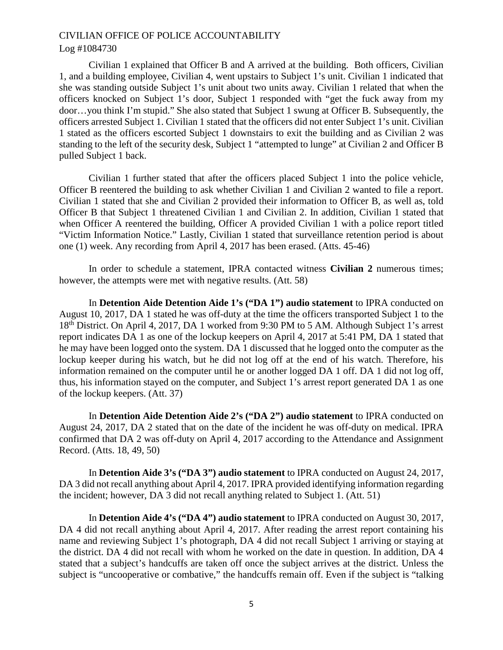### Log #1084730

Civilian 1 explained that Officer B and A arrived at the building. Both officers, Civilian 1, and a building employee, Civilian 4, went upstairs to Subject 1's unit. Civilian 1 indicated that she was standing outside Subject 1's unit about two units away. Civilian 1 related that when the officers knocked on Subject 1's door, Subject 1 responded with "get the fuck away from my door…you think I'm stupid." She also stated that Subject 1 swung at Officer B. Subsequently, the officers arrested Subject 1. Civilian 1 stated that the officers did not enter Subject 1's unit. Civilian 1 stated as the officers escorted Subject 1 downstairs to exit the building and as Civilian 2 was standing to the left of the security desk, Subject 1 "attempted to lunge" at Civilian 2 and Officer B pulled Subject 1 back.

Civilian 1 further stated that after the officers placed Subject 1 into the police vehicle, Officer B reentered the building to ask whether Civilian 1 and Civilian 2 wanted to file a report. Civilian 1 stated that she and Civilian 2 provided their information to Officer B, as well as, told Officer B that Subject 1 threatened Civilian 1 and Civilian 2. In addition, Civilian 1 stated that when Officer A reentered the building, Officer A provided Civilian 1 with a police report titled "Victim Information Notice." Lastly, Civilian 1 stated that surveillance retention period is about one (1) week. Any recording from April 4, 2017 has been erased. (Atts. 45-46)

In order to schedule a statement, IPRA contacted witness **Civilian 2** numerous times; however, the attempts were met with negative results. (Att. 58)

In **Detention Aide Detention Aide 1's ("DA 1") audio statement** to IPRA conducted on August 10, 2017, DA 1 stated he was off-duty at the time the officers transported Subject 1 to the 18<sup>th</sup> District. On April 4, 2017, DA 1 worked from 9:30 PM to 5 AM. Although Subject 1's arrest report indicates DA 1 as one of the lockup keepers on April 4, 2017 at 5:41 PM, DA 1 stated that he may have been logged onto the system. DA 1 discussed that he logged onto the computer as the lockup keeper during his watch, but he did not log off at the end of his watch. Therefore, his information remained on the computer until he or another logged DA 1 off. DA 1 did not log off, thus, his information stayed on the computer, and Subject 1's arrest report generated DA 1 as one of the lockup keepers. (Att. 37)

In **Detention Aide Detention Aide 2's ("DA 2") audio statement** to IPRA conducted on August 24, 2017, DA 2 stated that on the date of the incident he was off-duty on medical. IPRA confirmed that DA 2 was off-duty on April 4, 2017 according to the Attendance and Assignment Record. (Atts. 18, 49, 50)

In **Detention Aide 3's ("DA 3") audio statement** to IPRA conducted on August 24, 2017, DA 3 did not recall anything about April 4, 2017. IPRA provided identifying information regarding the incident; however, DA 3 did not recall anything related to Subject 1. (Att. 51)

In **Detention Aide 4's ("DA 4") audio statement** to IPRA conducted on August 30, 2017, DA 4 did not recall anything about April 4, 2017. After reading the arrest report containing his name and reviewing Subject 1's photograph, DA 4 did not recall Subject 1 arriving or staying at the district. DA 4 did not recall with whom he worked on the date in question. In addition, DA 4 stated that a subject's handcuffs are taken off once the subject arrives at the district. Unless the subject is "uncooperative or combative," the handcuffs remain off. Even if the subject is "talking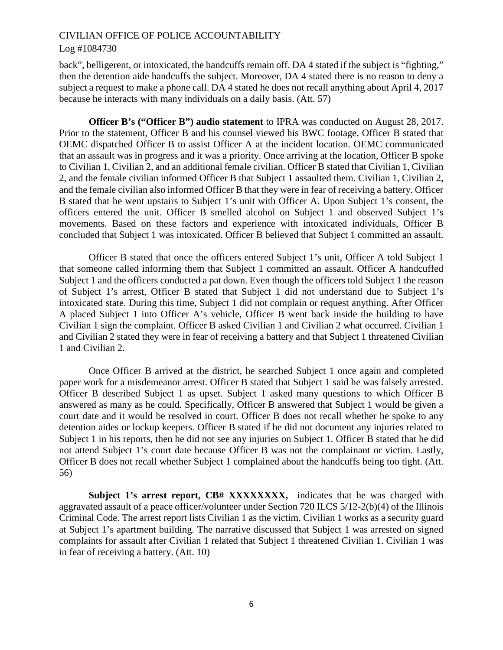#### Log #1084730

back", belligerent, or intoxicated, the handcuffs remain off. DA 4 stated if the subject is "fighting," then the detention aide handcuffs the subject. Moreover, DA 4 stated there is no reason to deny a subject a request to make a phone call. DA 4 stated he does not recall anything about April 4, 2017 because he interacts with many individuals on a daily basis. (Att. 57)

**Officer B's ("Officer B") audio statement** to IPRA was conducted on August 28, 2017. Prior to the statement, Officer B and his counsel viewed his BWC footage. Officer B stated that OEMC dispatched Officer B to assist Officer A at the incident location. OEMC communicated that an assault was in progress and it was a priority. Once arriving at the location, Officer B spoke to Civilian 1, Civilian 2, and an additional female civilian. Officer B stated that Civilian 1, Civilian 2, and the female civilian informed Officer B that Subject 1 assaulted them. Civilian 1, Civilian 2, and the female civilian also informed Officer B that they were in fear of receiving a battery. Officer B stated that he went upstairs to Subject 1's unit with Officer A. Upon Subject 1's consent, the officers entered the unit. Officer B smelled alcohol on Subject 1 and observed Subject 1's movements. Based on these factors and experience with intoxicated individuals, Officer B concluded that Subject 1 was intoxicated. Officer B believed that Subject 1 committed an assault.

Officer B stated that once the officers entered Subject 1's unit, Officer A told Subject 1 that someone called informing them that Subject 1 committed an assault. Officer A handcuffed Subject 1 and the officers conducted a pat down. Even though the officers told Subject 1 the reason of Subject 1's arrest, Officer B stated that Subject 1 did not understand due to Subject 1's intoxicated state. During this time, Subject 1 did not complain or request anything. After Officer A placed Subject 1 into Officer A's vehicle, Officer B went back inside the building to have Civilian 1 sign the complaint. Officer B asked Civilian 1 and Civilian 2 what occurred. Civilian 1 and Civilian 2 stated they were in fear of receiving a battery and that Subject 1 threatened Civilian 1 and Civilian 2.

Once Officer B arrived at the district, he searched Subject 1 once again and completed paper work for a misdemeanor arrest. Officer B stated that Subject 1 said he was falsely arrested. Officer B described Subject 1 as upset. Subject 1 asked many questions to which Officer B answered as many as he could. Specifically, Officer B answered that Subject 1 would be given a court date and it would be resolved in court. Officer B does not recall whether he spoke to any detention aides or lockup keepers. Officer B stated if he did not document any injuries related to Subject 1 in his reports, then he did not see any injuries on Subject 1. Officer B stated that he did not attend Subject 1's court date because Officer B was not the complainant or victim. Lastly, Officer B does not recall whether Subject 1 complained about the handcuffs being too tight. (Att. 56)

**Subject 1's arrest report, CB# XXXXXXXX,** indicates that he was charged with aggravated assault of a peace officer/volunteer under Section 720 ILCS 5/12-2(b)(4) of the Illinois Criminal Code. The arrest report lists Civilian 1 as the victim. Civilian 1 works as a security guard at Subject 1's apartment building. The narrative discussed that Subject 1 was arrested on signed complaints for assault after Civilian 1 related that Subject 1 threatened Civilian 1. Civilian 1 was in fear of receiving a battery. (Att. 10)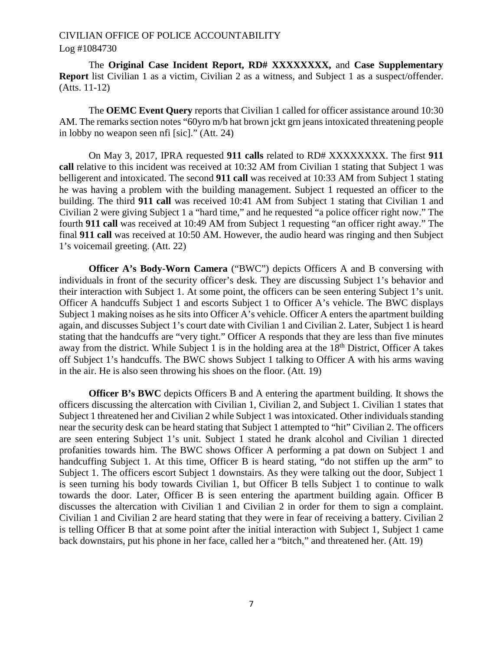#### Log #1084730

The **Original Case Incident Report, RD# XXXXXXXX,** and **Case Supplementary Report** list Civilian 1 as a victim, Civilian 2 as a witness, and Subject 1 as a suspect/offender. (Atts. 11-12)

The **OEMC Event Query** reports that Civilian 1 called for officer assistance around 10:30 AM. The remarks section notes "60yro m/b hat brown jckt grn jeans intoxicated threatening people in lobby no weapon seen nfi [sic]." (Att. 24)

On May 3, 2017, IPRA requested **911 calls** related to RD# XXXXXXXX. The first **911 call** relative to this incident was received at 10:32 AM from Civilian 1 stating that Subject 1 was belligerent and intoxicated. The second **911 call** was received at 10:33 AM from Subject 1 stating he was having a problem with the building management. Subject 1 requested an officer to the building. The third **911 call** was received 10:41 AM from Subject 1 stating that Civilian 1 and Civilian 2 were giving Subject 1 a "hard time," and he requested "a police officer right now." The fourth **911 call** was received at 10:49 AM from Subject 1 requesting "an officer right away." The final **911 call** was received at 10:50 AM. However, the audio heard was ringing and then Subject 1's voicemail greeting. (Att. 22)

**Officer A's Body-Worn Camera** ("BWC") depicts Officers A and B conversing with individuals in front of the security officer's desk. They are discussing Subject 1's behavior and their interaction with Subject 1. At some point, the officers can be seen entering Subject 1's unit. Officer A handcuffs Subject 1 and escorts Subject 1 to Officer A's vehicle. The BWC displays Subject 1 making noises as he sits into Officer A's vehicle. Officer A enters the apartment building again, and discusses Subject 1's court date with Civilian 1 and Civilian 2. Later, Subject 1 is heard stating that the handcuffs are "very tight." Officer A responds that they are less than five minutes away from the district. While Subject 1 is in the holding area at the  $18<sup>th</sup>$  District, Officer A takes off Subject 1's handcuffs. The BWC shows Subject 1 talking to Officer A with his arms waving in the air. He is also seen throwing his shoes on the floor. (Att. 19)

**Officer B's BWC** depicts Officers B and A entering the apartment building. It shows the officers discussing the altercation with Civilian 1, Civilian 2, and Subject 1. Civilian 1 states that Subject 1 threatened her and Civilian 2 while Subject 1 was intoxicated. Other individuals standing near the security desk can be heard stating that Subject 1 attempted to "hit" Civilian 2. The officers are seen entering Subject 1's unit. Subject 1 stated he drank alcohol and Civilian 1 directed profanities towards him. The BWC shows Officer A performing a pat down on Subject 1 and handcuffing Subject 1. At this time, Officer B is heard stating, "do not stiffen up the arm" to Subject 1. The officers escort Subject 1 downstairs. As they were talking out the door, Subject 1 is seen turning his body towards Civilian 1, but Officer B tells Subject 1 to continue to walk towards the door. Later, Officer B is seen entering the apartment building again. Officer B discusses the altercation with Civilian 1 and Civilian 2 in order for them to sign a complaint. Civilian 1 and Civilian 2 are heard stating that they were in fear of receiving a battery. Civilian 2 is telling Officer B that at some point after the initial interaction with Subject 1, Subject 1 came back downstairs, put his phone in her face, called her a "bitch," and threatened her. (Att. 19)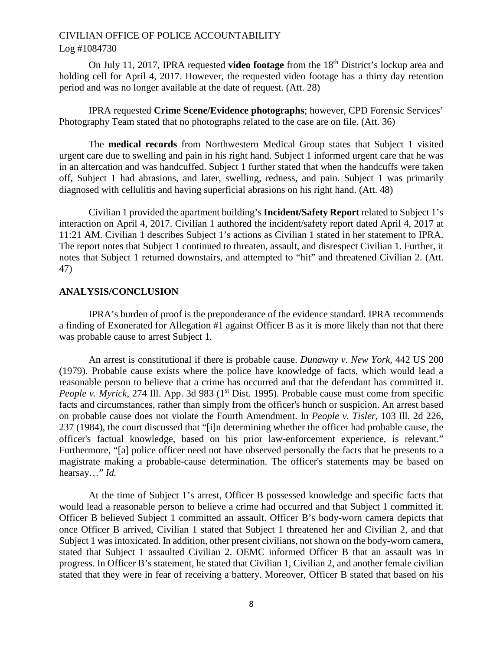On July 11, 2017, IPRA requested **video footage** from the 18<sup>th</sup> District's lockup area and holding cell for April 4, 2017. However, the requested video footage has a thirty day retention period and was no longer available at the date of request. (Att. 28)

IPRA requested **Crime Scene/Evidence photographs**; however, CPD Forensic Services' Photography Team stated that no photographs related to the case are on file. (Att. 36)

The **medical records** from Northwestern Medical Group states that Subject 1 visited urgent care due to swelling and pain in his right hand. Subject 1 informed urgent care that he was in an altercation and was handcuffed. Subject 1 further stated that when the handcuffs were taken off, Subject 1 had abrasions, and later, swelling, redness, and pain. Subject 1 was primarily diagnosed with cellulitis and having superficial abrasions on his right hand. (Att. 48)

Civilian 1 provided the apartment building's **Incident/Safety Report** related to Subject 1's interaction on April 4, 2017. Civilian 1 authored the incident/safety report dated April 4, 2017 at 11:21 AM. Civilian 1 describes Subject 1's actions as Civilian 1 stated in her statement to IPRA. The report notes that Subject 1 continued to threaten, assault, and disrespect Civilian 1. Further, it notes that Subject 1 returned downstairs, and attempted to "hit" and threatened Civilian 2. (Att. 47)

#### **ANALYSIS/CONCLUSION**

IPRA's burden of proof is the preponderance of the evidence standard. IPRA recommends a finding of Exonerated for Allegation #1 against Officer B as it is more likely than not that there was probable cause to arrest Subject 1.

An arrest is constitutional if there is probable cause. *Dunaway v. New York*, 442 US 200 (1979). Probable cause exists where the police have knowledge of facts, which would lead a reasonable person to believe that a crime has occurred and that the defendant has committed it. *People v. Myrick*, 274 Ill. App. 3d 983 (1<sup>st</sup> Dist. 1995). Probable cause must come from specific facts and circumstances, rather than simply from the officer's hunch or suspicion. An arrest based on probable cause does not violate the Fourth Amendment. In *People v. Tisler*, 103 Ill. 2d 226, 237 (1984), the court discussed that "[i]n determining whether the officer had probable cause, the officer's factual knowledge, based on his prior law-enforcement experience, is relevant." Furthermore, "[a] police officer need not have observed personally the facts that he presents to a magistrate making a probable-cause determination. The officer's statements may be based on hearsay…" *Id.*

At the time of Subject 1's arrest, Officer B possessed knowledge and specific facts that would lead a reasonable person to believe a crime had occurred and that Subject 1 committed it. Officer B believed Subject 1 committed an assault. Officer B's body-worn camera depicts that once Officer B arrived, Civilian 1 stated that Subject 1 threatened her and Civilian 2, and that Subject 1 was intoxicated. In addition, other present civilians, not shown on the body-worn camera, stated that Subject 1 assaulted Civilian 2. OEMC informed Officer B that an assault was in progress. In Officer B's statement, he stated that Civilian 1, Civilian 2, and another female civilian stated that they were in fear of receiving a battery. Moreover, Officer B stated that based on his